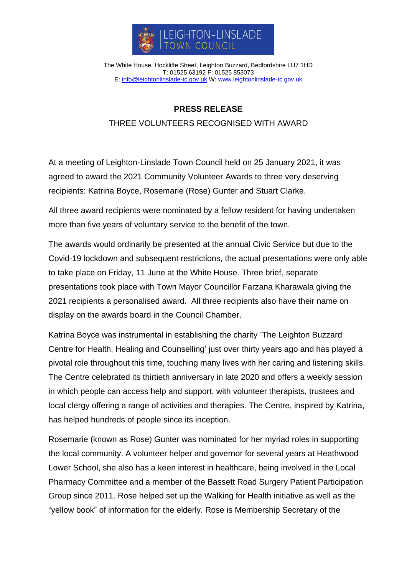

The White House, Hockliffe Street, Leighton Buzzard, Bedfordshire LU7 1HD T: 01525 63192 F: 01525 853073 E: [info@leightonlinslade-tc.gov.uk](mailto:bookings@leightonlinslade-tc.gov.uk) W: [www.leightonlinslade-tc.gov.uk](http://www.leightonlinslade-tc.gov.uk/)

## **PRESS RELEASE**

## THREE VOLUNTEERS RECOGNISED WITH AWARD

At a meeting of Leighton-Linslade Town Council held on 25 January 2021, it was agreed to award the 2021 Community Volunteer Awards to three very deserving recipients: Katrina Boyce, Rosemarie (Rose) Gunter and Stuart Clarke.

All three award recipients were nominated by a fellow resident for having undertaken more than five years of voluntary service to the benefit of the town.

The awards would ordinarily be presented at the annual Civic Service but due to the Covid-19 lockdown and subsequent restrictions, the actual presentations were only able to take place on Friday, 11 June at the White House. Three brief, separate presentations took place with Town Mayor Councillor Farzana Kharawala giving the 2021 recipients a personalised award. All three recipients also have their name on display on the awards board in the Council Chamber.

Katrina Boyce was instrumental in establishing the charity 'The Leighton Buzzard Centre for Health, Healing and Counselling' just over thirty years ago and has played a pivotal role throughout this time, touching many lives with her caring and listening skills. The Centre celebrated its thirtieth anniversary in late 2020 and offers a weekly session in which people can access help and support, with volunteer therapists, trustees and local clergy offering a range of activities and therapies. The Centre, inspired by Katrina, has helped hundreds of people since its inception.

Rosemarie (known as Rose) Gunter was nominated for her myriad roles in supporting the local community. A volunteer helper and governor for several years at Heathwood Lower School, she also has a keen interest in healthcare, being involved in the Local Pharmacy Committee and a member of the Bassett Road Surgery Patient Participation Group since 2011. Rose helped set up the Walking for Health initiative as well as the "yellow book" of information for the elderly. Rose is Membership Secretary of the